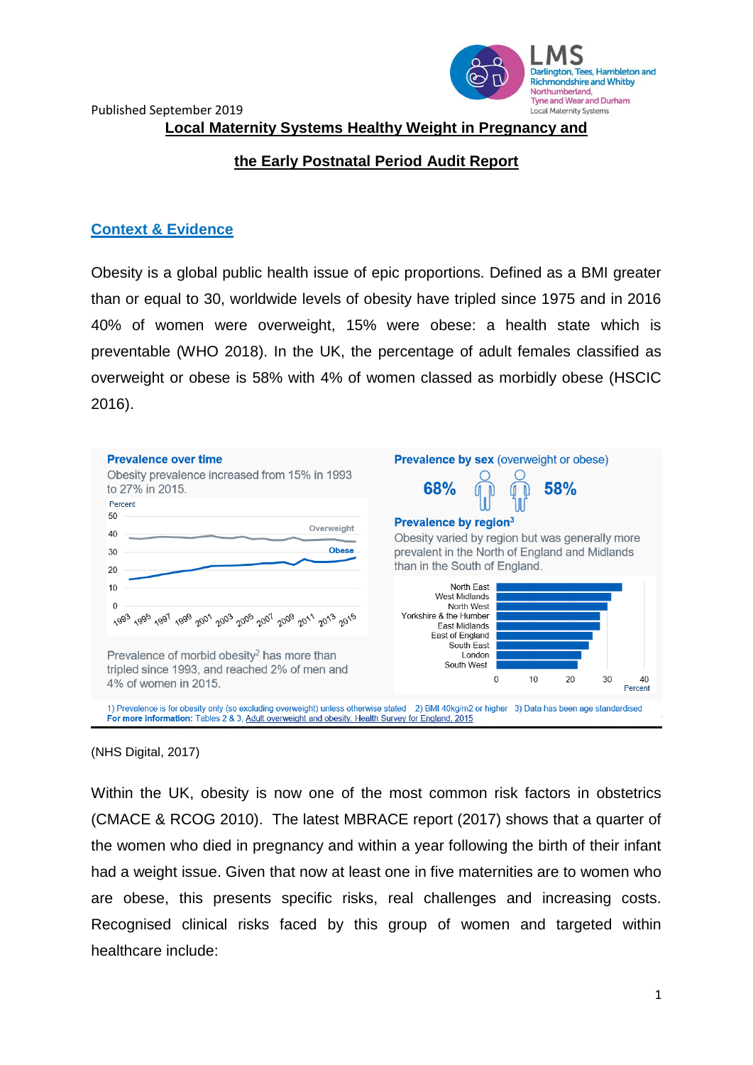

Published September 2019 **Local Maternity Systems Healthy Weight in Pregnancy and** 

## **the Early Postnatal Period Audit Report**

### **Context & Evidence**

Obesity is a global public health issue of epic proportions. Defined as a BMI greater than or equal to 30, worldwide levels of obesity have tripled since 1975 and in 2016 40% of women were overweight, 15% were obese: a health state which is preventable (WHO 2018). In the UK, the percentage of adult females classified as overweight or obese is 58% with 4% of women classed as morbidly obese (HSCIC 2016).



#### (NHS Digital, 2017)

Within the UK, obesity is now one of the most common risk factors in obstetrics (CMACE & RCOG 2010). The latest MBRACE report (2017) shows that a quarter of the women who died in pregnancy and within a year following the birth of their infant had a weight issue. Given that now at least one in five maternities are to women who are obese, this presents specific risks, real challenges and increasing costs. Recognised clinical risks faced by this group of women and targeted within healthcare include: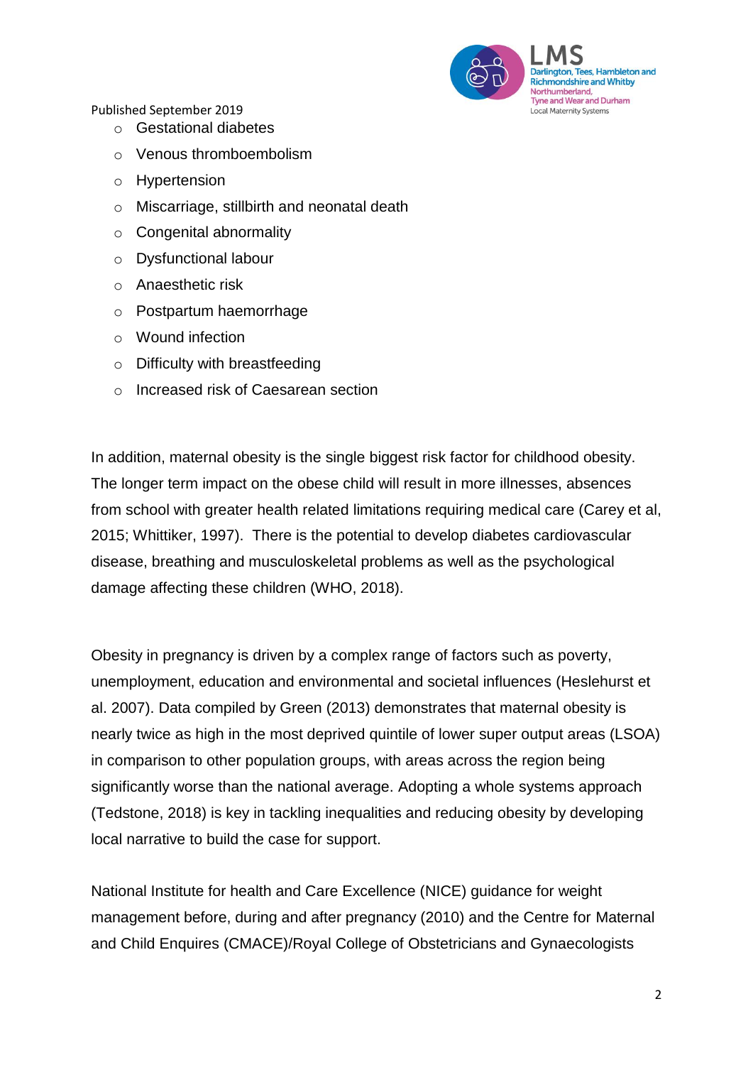

- o Gestational diabetes
- o Venous thromboembolism
- o Hypertension
- o Miscarriage, stillbirth and neonatal death
- o Congenital abnormality
- o Dysfunctional labour
- o Anaesthetic risk
- o Postpartum haemorrhage
- o Wound infection
- o Difficulty with breastfeeding
- o Increased risk of Caesarean section

In addition, maternal obesity is the single biggest risk factor for childhood obesity. The longer term impact on the obese child will result in more illnesses, absences from school with greater health related limitations requiring medical care (Carey et al, 2015; Whittiker, 1997). There is the potential to develop diabetes cardiovascular disease, breathing and musculoskeletal problems as well as the psychological damage affecting these children (WHO, 2018).

Obesity in pregnancy is driven by a complex range of factors such as poverty, unemployment, education and environmental and societal influences (Heslehurst et al. 2007). Data compiled by Green (2013) demonstrates that maternal obesity is nearly twice as high in the most deprived quintile of lower super output areas (LSOA) in comparison to other population groups, with areas across the region being significantly worse than the national average. Adopting a whole systems approach (Tedstone, 2018) is key in tackling inequalities and reducing obesity by developing local narrative to build the case for support.

National Institute for health and Care Excellence (NICE) guidance for weight management before, during and after pregnancy (2010) and the Centre for Maternal and Child Enquires (CMACE)/Royal College of Obstetricians and Gynaecologists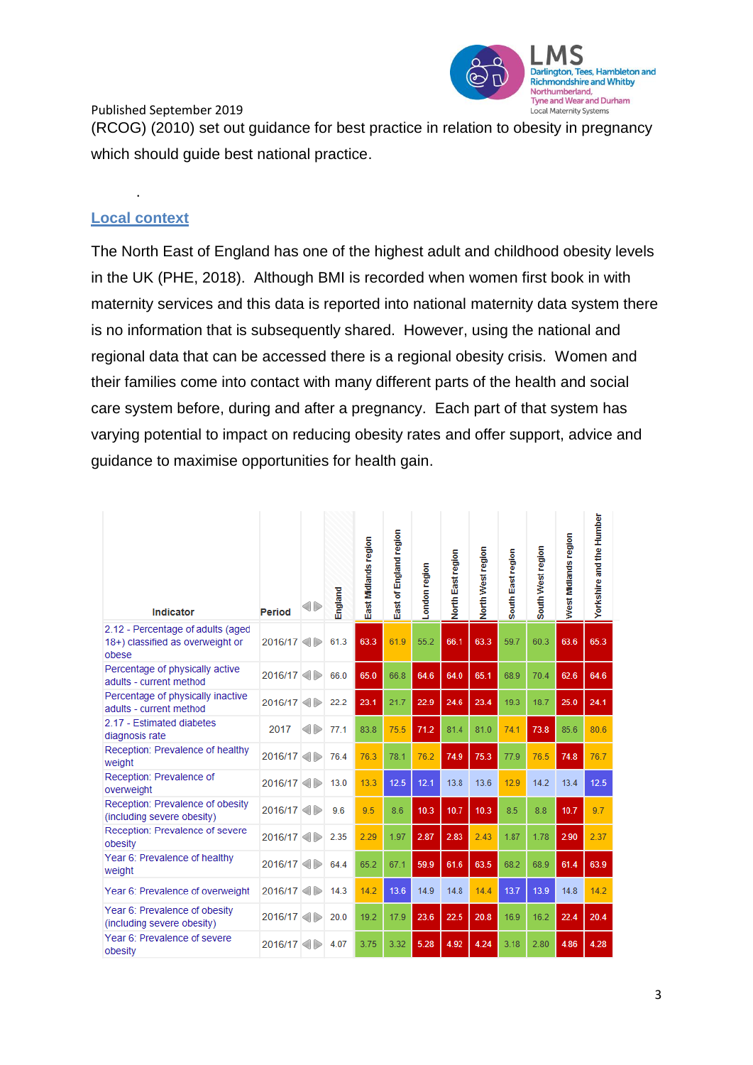

(RCOG) (2010) set out guidance for best practice in relation to obesity in pregnancy which should guide best national practice.

# **Local context**

.

The North East of England has one of the highest adult and childhood obesity levels in the UK (PHE, 2018).Although BMI is recorded when women first book in with maternity services and this data is reported into national maternity data system there is no information that is subsequently shared. However, using the national and regional data that can be accessed there is a regional obesity crisis. Women and their families come into contact with many different parts of the health and social care system before, during and after a pregnancy. Each part of that system has varying potential to impact on reducing obesity rates and offer support, advice and guidance to maximise opportunities for health gain.

| <b>Indicator</b>                                                               | Period  | 4D        | England | East Midlands region | England region<br>East of I | ondon region | North East region | North West region | South East region | South West region | West Midlands region | Yorkshire and the Humber |
|--------------------------------------------------------------------------------|---------|-----------|---------|----------------------|-----------------------------|--------------|-------------------|-------------------|-------------------|-------------------|----------------------|--------------------------|
| 2.12 - Percentage of adults (aged<br>18+) classified as overweight or<br>obese | 2016/17 |           | 61.3    | 63.3                 | 61.9                        | 55.2         | 66.1              | 63.3              | 59.7              | 60.3              | 63.6                 | 65.3                     |
| Percentage of physically active<br>adults - current method                     | 2016/17 |           | 66.0    | 65.0                 | 66.8                        | 64.6         | 64.0              | 65.1              | 68.9              | 70.4              | 62.6                 | 64.6                     |
| Percentage of physically inactive<br>adults - current method                   | 2016/17 |           | 22.2    | 23.1                 | 21.7                        | 22.9         | 24.6              | 23.4              | 19.3              | 18.7              | 25.0                 | 24.1                     |
| 2.17 - Estimated diabetes<br>diagnosis rate                                    | 2017    | <b>OD</b> | 77.1    | 83.8                 | 75.5                        | 71.2         | 81.4              | 81.0              | 74.1              | 73.8              | 85.6                 | 80.6                     |
| Reception: Prevalence of healthy<br>weight                                     | 2016/17 |           | 76.4    | 76.3                 | 78.1                        | 76.2         | 74.9              | 75.3              | 77.9              | 76.5              | 74.8                 | 76.7                     |
| Reception: Prevalence of<br>overweight                                         | 2016/17 |           | 13.0    | 13.3                 | 12.5                        | 12.1         | 13.8              | 13.6              | 12.9              | 14.2              | 13.4                 | 12.5                     |
| Reception: Prevalence of obesity<br>(including severe obesity)                 | 2016/17 |           | 9.6     | 9.5                  | 8.6                         | 10.3         | 10.7              | 10.3              | 8.5               | 8.8               | 10.7                 | 9.7                      |
| Reception: Prevalence of severe<br>obesity                                     | 2016/17 |           | 2.35    | 2.29                 | 1.97                        | 2.87         | 2.83              | 2.43              | 1.87              | 1.78              | 2.90                 | 2.37                     |
| Year 6: Prevalence of healthy<br>weight                                        | 2016/17 |           | 64.4    | 65.2                 | 67.1                        | 59.9         | 61.6              | 63.5              | 68.2              | 68.9              | 61.4                 | 63.9                     |
| Year 6: Prevalence of overweight                                               | 2016/17 |           | 14.3    | 14.2                 | 13.6                        | 14.9         | 14.8              | 14.4              | 13.7              | 13.9              | 14.8                 | 14.2                     |
| Year 6: Prevalence of obesity<br>(including severe obesity)                    | 2016/17 |           | 20.0    | 19.2                 | 17.9                        | 23.6         | 22.5              | 20.8              | 16.9              | 16.2              | 22.4                 | 20.4                     |
| Year 6: Prevalence of severe<br>obesity                                        | 2016/17 |           | 4.07    | 3.75                 | 3.32                        | 5.28         | 4.92              | 4.24              | 3.18              | 2.80              | 4.86                 | 4.28                     |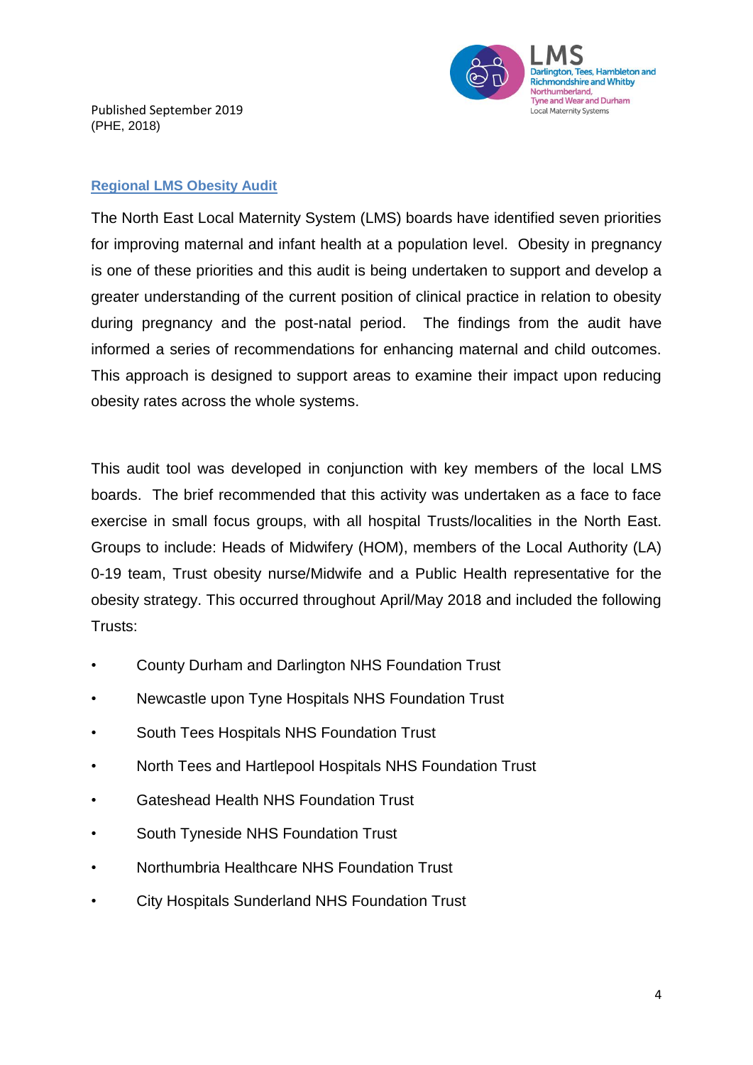

Published September 2019 (PHE, 2018)

#### **Regional LMS Obesity Audit**

The North East Local Maternity System (LMS) boards have identified seven priorities for improving maternal and infant health at a population level. Obesity in pregnancy is one of these priorities and this audit is being undertaken to support and develop a greater understanding of the current position of clinical practice in relation to obesity during pregnancy and the post-natal period. The findings from the audit have informed a series of recommendations for enhancing maternal and child outcomes. This approach is designed to support areas to examine their impact upon reducing obesity rates across the whole systems.

This audit tool was developed in conjunction with key members of the local LMS boards. The brief recommended that this activity was undertaken as a face to face exercise in small focus groups, with all hospital Trusts/localities in the North East. Groups to include: Heads of Midwifery (HOM), members of the Local Authority (LA) 0-19 team, Trust obesity nurse/Midwife and a Public Health representative for the obesity strategy. This occurred throughout April/May 2018 and included the following Trusts:

- County Durham and Darlington NHS Foundation Trust
- Newcastle upon Tyne Hospitals NHS Foundation Trust
- South Tees Hospitals NHS Foundation Trust
- North Tees and Hartlepool Hospitals NHS Foundation Trust
- Gateshead Health NHS Foundation Trust
- South Tyneside NHS Foundation Trust
- Northumbria Healthcare NHS Foundation Trust
- City Hospitals Sunderland NHS Foundation Trust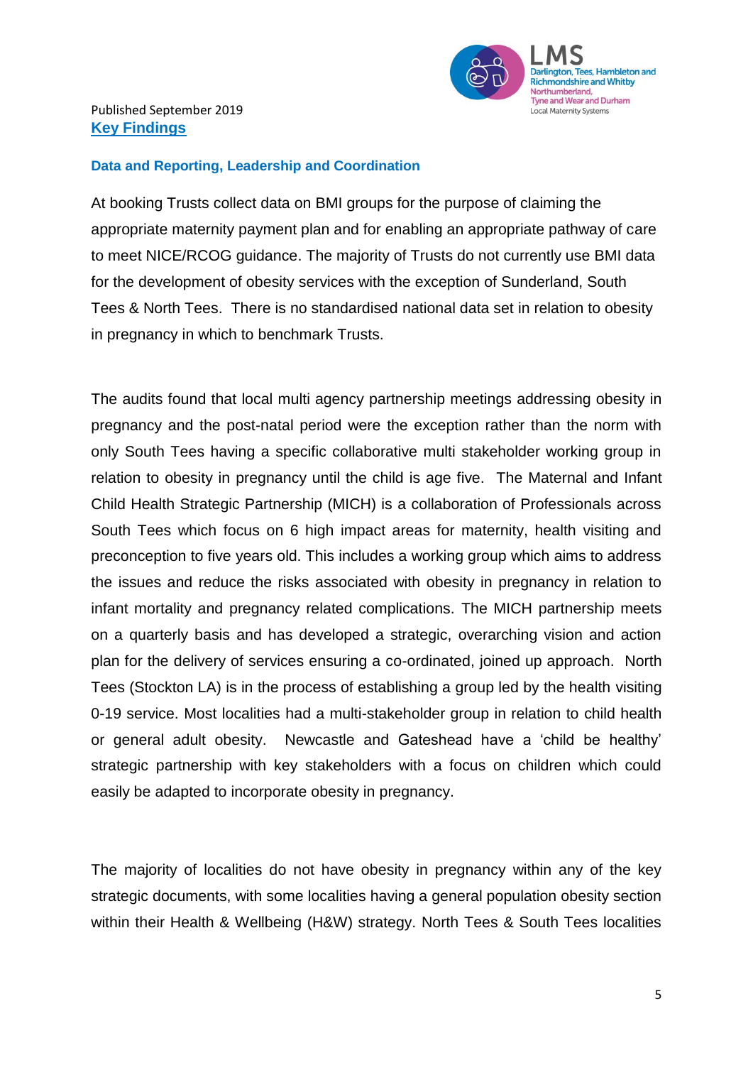

### **Data and Reporting, Leadership and Coordination**

At booking Trusts collect data on BMI groups for the purpose of claiming the appropriate maternity payment plan and for enabling an appropriate pathway of care to meet NICE/RCOG guidance. The majority of Trusts do not currently use BMI data for the development of obesity services with the exception of Sunderland, South Tees & North Tees. There is no standardised national data set in relation to obesity in pregnancy in which to benchmark Trusts.

The audits found that local multi agency partnership meetings addressing obesity in pregnancy and the post-natal period were the exception rather than the norm with only South Tees having a specific collaborative multi stakeholder working group in relation to obesity in pregnancy until the child is age five. The Maternal and Infant Child Health Strategic Partnership (MICH) is a collaboration of Professionals across South Tees which focus on 6 high impact areas for maternity, health visiting and preconception to five years old. This includes a working group which aims to address the issues and reduce the risks associated with obesity in pregnancy in relation to infant mortality and pregnancy related complications. The MICH partnership meets on a quarterly basis and has developed a strategic, overarching vision and action plan for the delivery of services ensuring a co-ordinated, joined up approach. North Tees (Stockton LA) is in the process of establishing a group led by the health visiting 0-19 service. Most localities had a multi-stakeholder group in relation to child health or general adult obesity. Newcastle and Gateshead have a 'child be healthy' strategic partnership with key stakeholders with a focus on children which could easily be adapted to incorporate obesity in pregnancy.

The majority of localities do not have obesity in pregnancy within any of the key strategic documents, with some localities having a general population obesity section within their Health & Wellbeing (H&W) strategy. North Tees & South Tees localities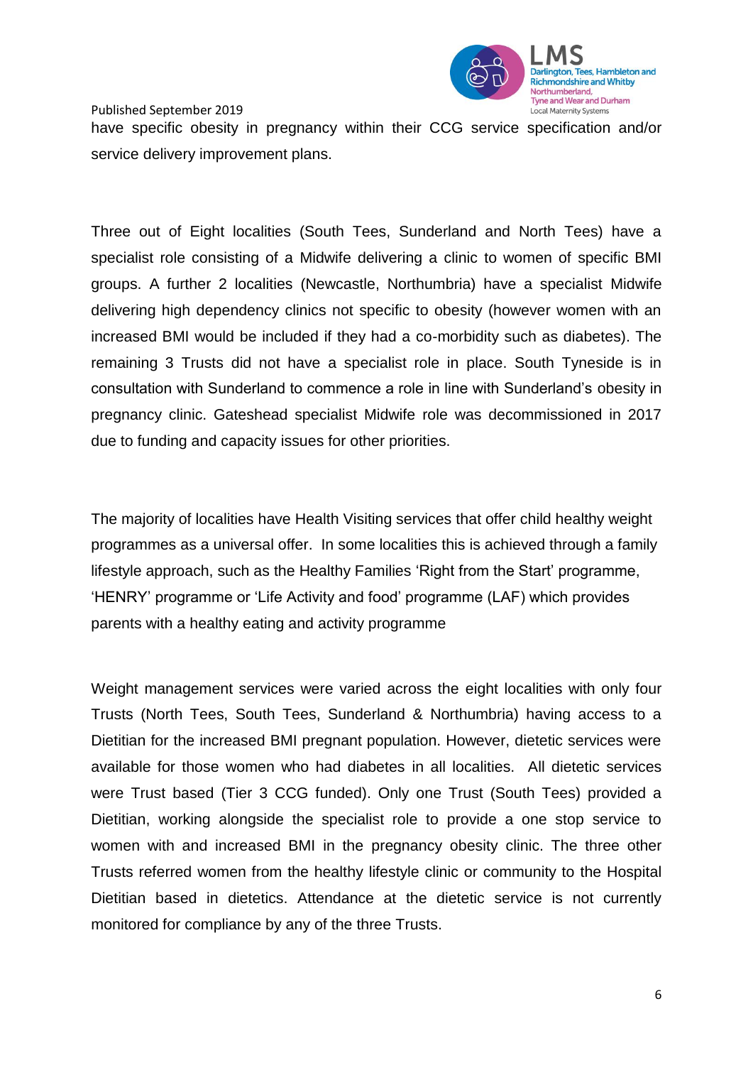

Published September 2019 have specific obesity in pregnancy within their CCG service specification and/or service delivery improvement plans.

Three out of Eight localities (South Tees, Sunderland and North Tees) have a specialist role consisting of a Midwife delivering a clinic to women of specific BMI groups. A further 2 localities (Newcastle, Northumbria) have a specialist Midwife delivering high dependency clinics not specific to obesity (however women with an increased BMI would be included if they had a co-morbidity such as diabetes). The remaining 3 Trusts did not have a specialist role in place. South Tyneside is in consultation with Sunderland to commence a role in line with Sunderland's obesity in pregnancy clinic. Gateshead specialist Midwife role was decommissioned in 2017 due to funding and capacity issues for other priorities.

The majority of localities have Health Visiting services that offer child healthy weight programmes as a universal offer. In some localities this is achieved through a family lifestyle approach, such as the Healthy Families 'Right from the Start' programme, 'HENRY' programme or 'Life Activity and food' programme (LAF) which provides parents with a healthy eating and activity programme

Weight management services were varied across the eight localities with only four Trusts (North Tees, South Tees, Sunderland & Northumbria) having access to a Dietitian for the increased BMI pregnant population. However, dietetic services were available for those women who had diabetes in all localities. All dietetic services were Trust based (Tier 3 CCG funded). Only one Trust (South Tees) provided a Dietitian, working alongside the specialist role to provide a one stop service to women with and increased BMI in the pregnancy obesity clinic. The three other Trusts referred women from the healthy lifestyle clinic or community to the Hospital Dietitian based in dietetics. Attendance at the dietetic service is not currently monitored for compliance by any of the three Trusts.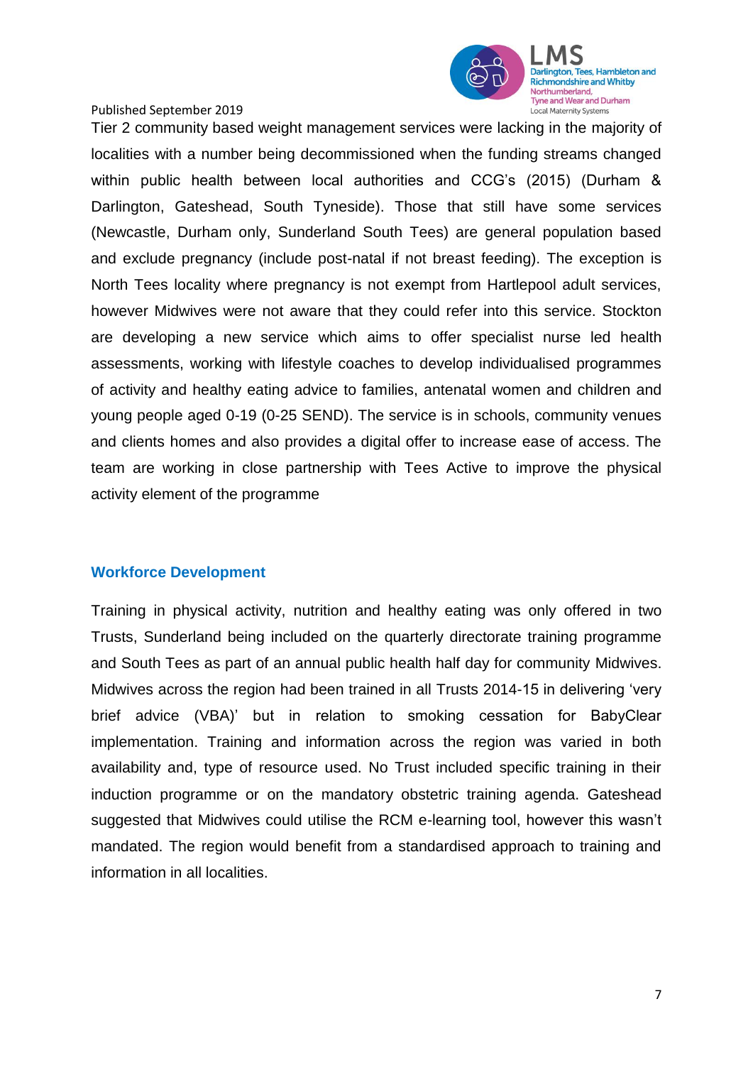

Tier 2 community based weight management services were lacking in the majority of localities with a number being decommissioned when the funding streams changed within public health between local authorities and CCG's (2015) (Durham & Darlington, Gateshead, South Tyneside). Those that still have some services (Newcastle, Durham only, Sunderland South Tees) are general population based and exclude pregnancy (include post-natal if not breast feeding). The exception is North Tees locality where pregnancy is not exempt from Hartlepool adult services, however Midwives were not aware that they could refer into this service. Stockton are developing a new service which aims to offer specialist nurse led health assessments, working with lifestyle coaches to develop individualised programmes of activity and healthy eating advice to families, antenatal women and children and young people aged 0-19 (0-25 SEND). The service is in schools, community venues and clients homes and also provides a digital offer to increase ease of access. The team are working in close partnership with Tees Active to improve the physical activity element of the programme

# **Workforce Development**

Training in physical activity, nutrition and healthy eating was only offered in two Trusts, Sunderland being included on the quarterly directorate training programme and South Tees as part of an annual public health half day for community Midwives. Midwives across the region had been trained in all Trusts 2014-15 in delivering 'very brief advice (VBA)' but in relation to smoking cessation for BabyClear implementation. Training and information across the region was varied in both availability and, type of resource used. No Trust included specific training in their induction programme or on the mandatory obstetric training agenda. Gateshead suggested that Midwives could utilise the RCM e-learning tool, however this wasn't mandated. The region would benefit from a standardised approach to training and information in all localities.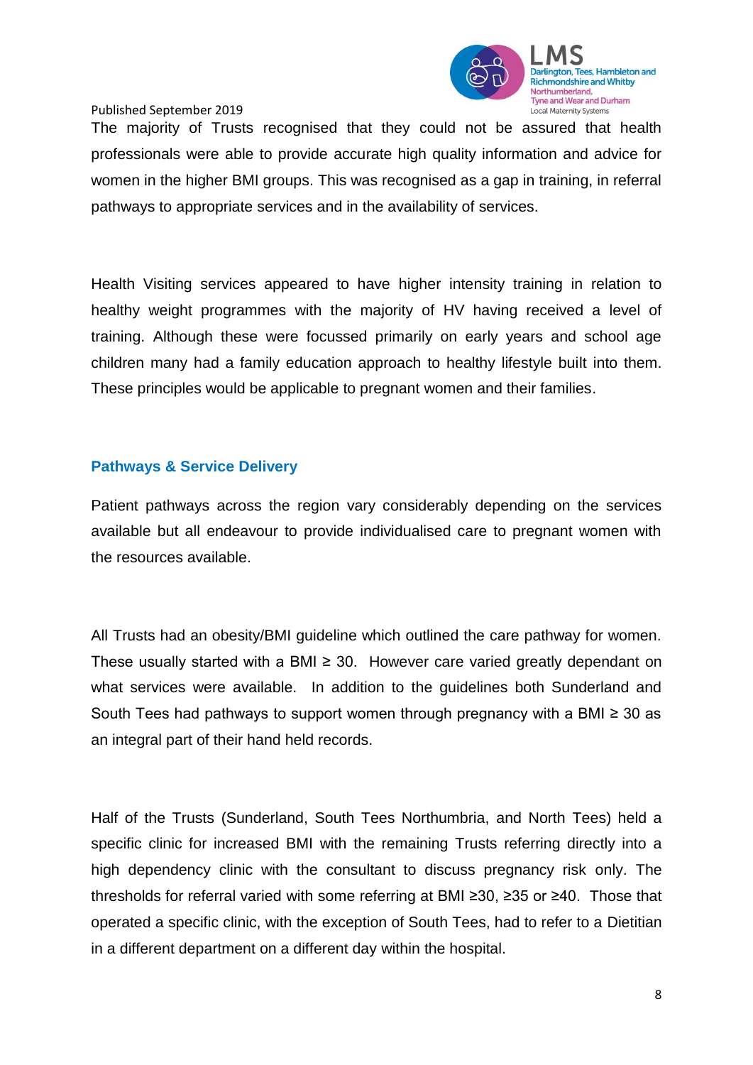

The majority of Trusts recognised that they could not be assured that health professionals were able to provide accurate high quality information and advice for women in the higher BMI groups. This was recognised as a gap in training, in referral pathways to appropriate services and in the availability of services.

Health Visiting services appeared to have higher intensity training in relation to healthy weight programmes with the majority of HV having received a level of training. Although these were focussed primarily on early years and school age children many had a family education approach to healthy lifestyle built into them. These principles would be applicable to pregnant women and their families.

### **Pathways & Service Delivery**

Patient pathways across the region vary considerably depending on the services available but all endeavour to provide individualised care to pregnant women with the resources available.

All Trusts had an obesity/BMI guideline which outlined the care pathway for women. These usually started with a BMI  $\geq$  30. However care varied greatly dependant on what services were available. In addition to the guidelines both Sunderland and South Tees had pathways to support women through pregnancy with a BMI ≥ 30 as an integral part of their hand held records.

Half of the Trusts (Sunderland, South Tees Northumbria, and North Tees) held a specific clinic for increased BMI with the remaining Trusts referring directly into a high dependency clinic with the consultant to discuss pregnancy risk only. The thresholds for referral varied with some referring at BMI ≥30, ≥35 or ≥40. Those that operated a specific clinic, with the exception of South Tees, had to refer to a Dietitian in a different department on a different day within the hospital.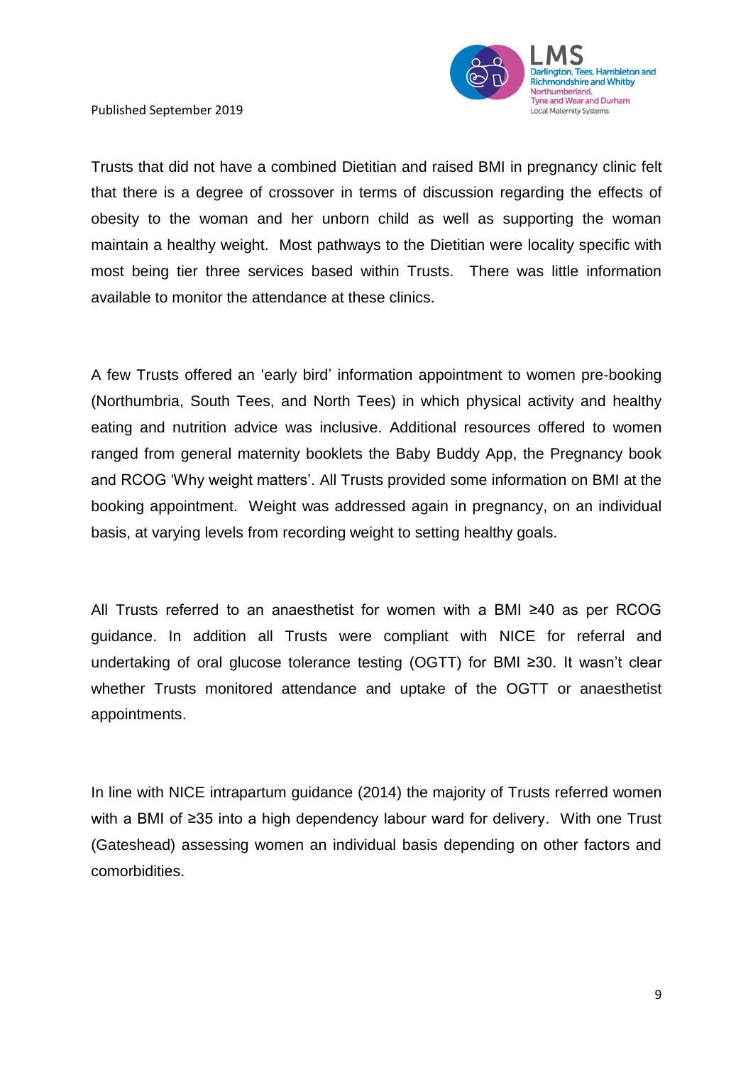

Trusts that did not have a combined Dietitian and raised BMI in pregnancy clinic felt that there is a degree of crossover in terms of discussion regarding the effects of obesity to the woman and her unborn child as well as supporting the woman maintain a healthy weight. Most pathways to the Dietitian were locality specific with most being tier three services based within Trusts. There was little information available to monitor the attendance at these clinics.

A few Trusts offered an 'early bird' information appointment to women pre-booking (Northumbria, South Tees, and North Tees) in which physical activity and healthy eating and nutrition advice was inclusive. Additional resources offered to women ranged from general maternity booklets the Baby Buddy App, the Pregnancy book and RCOG 'Why weight matters'. All Trusts provided some information on BMI at the booking appointment. Weight was addressed again in pregnancy, on an individual basis, at varying levels from recording weight to setting healthy goals.

All Trusts referred to an anaesthetist for women with a BMI ≥40 as per RCOG guidance. In addition all Trusts were compliant with NICE for referral and undertaking of oral glucose tolerance testing (OGTT) for BMI ≥30. It wasn't clear whether Trusts monitored attendance and uptake of the OGTT or anaesthetist appointments.

In line with NICE intrapartum guidance (2014) the majority of Trusts referred women with a BMI of ≥35 into a high dependency labour ward for delivery. With one Trust (Gateshead) assessing women an individual basis depending on other factors and comorbidities.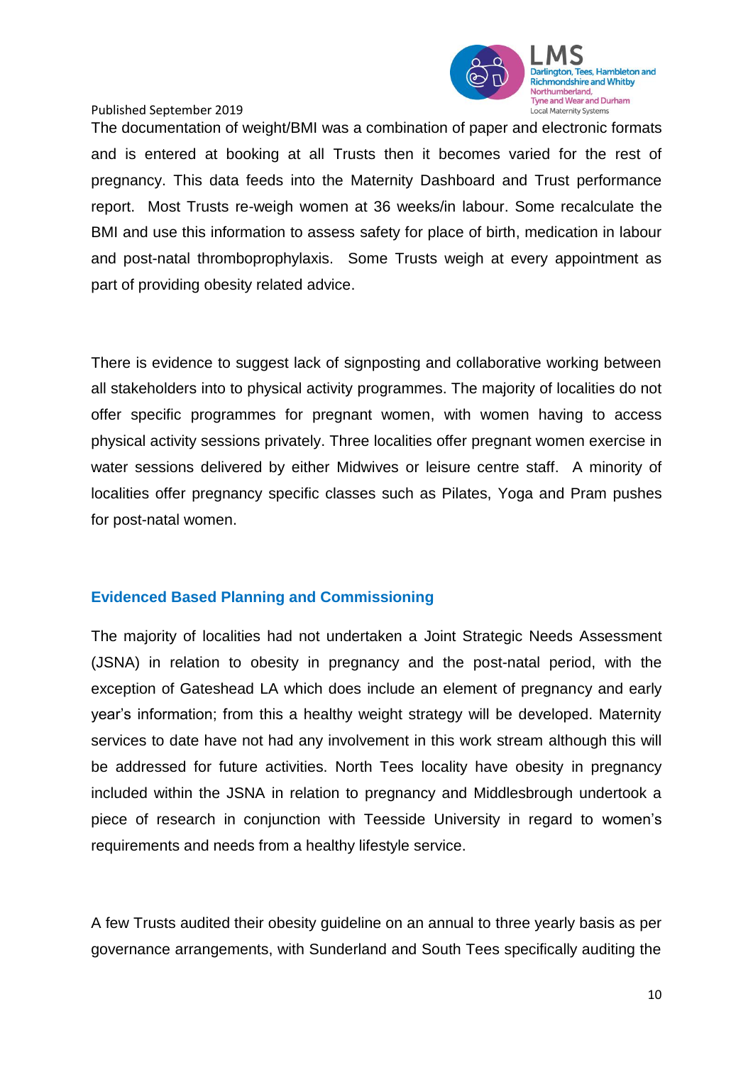

The documentation of weight/BMI was a combination of paper and electronic formats and is entered at booking at all Trusts then it becomes varied for the rest of pregnancy. This data feeds into the Maternity Dashboard and Trust performance report. Most Trusts re-weigh women at 36 weeks/in labour. Some recalculate the BMI and use this information to assess safety for place of birth, medication in labour and post-natal thromboprophylaxis. Some Trusts weigh at every appointment as part of providing obesity related advice.

There is evidence to suggest lack of signposting and collaborative working between all stakeholders into to physical activity programmes. The majority of localities do not offer specific programmes for pregnant women, with women having to access physical activity sessions privately. Three localities offer pregnant women exercise in water sessions delivered by either Midwives or leisure centre staff. A minority of localities offer pregnancy specific classes such as Pilates, Yoga and Pram pushes for post-natal women.

# **Evidenced Based Planning and Commissioning**

The majority of localities had not undertaken a Joint Strategic Needs Assessment (JSNA) in relation to obesity in pregnancy and the post-natal period, with the exception of Gateshead LA which does include an element of pregnancy and early year's information; from this a healthy weight strategy will be developed. Maternity services to date have not had any involvement in this work stream although this will be addressed for future activities. North Tees locality have obesity in pregnancy included within the JSNA in relation to pregnancy and Middlesbrough undertook a piece of research in conjunction with Teesside University in regard to women's requirements and needs from a healthy lifestyle service.

A few Trusts audited their obesity guideline on an annual to three yearly basis as per governance arrangements, with Sunderland and South Tees specifically auditing the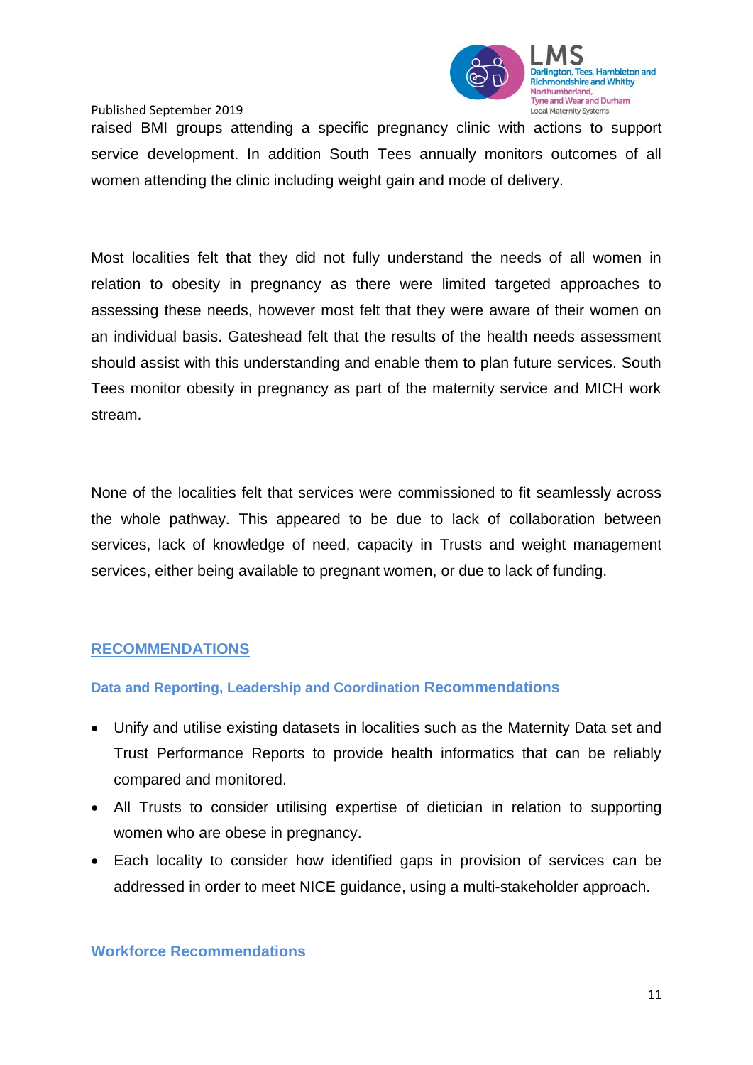

raised BMI groups attending a specific pregnancy clinic with actions to support service development. In addition South Tees annually monitors outcomes of all women attending the clinic including weight gain and mode of delivery.

Most localities felt that they did not fully understand the needs of all women in relation to obesity in pregnancy as there were limited targeted approaches to assessing these needs, however most felt that they were aware of their women on an individual basis. Gateshead felt that the results of the health needs assessment should assist with this understanding and enable them to plan future services. South Tees monitor obesity in pregnancy as part of the maternity service and MICH work stream.

None of the localities felt that services were commissioned to fit seamlessly across the whole pathway. This appeared to be due to lack of collaboration between services, lack of knowledge of need, capacity in Trusts and weight management services, either being available to pregnant women, or due to lack of funding.

# **RECOMMENDATIONS**

# **Data and Reporting, Leadership and Coordination Recommendations**

- Unify and utilise existing datasets in localities such as the Maternity Data set and Trust Performance Reports to provide health informatics that can be reliably compared and monitored.
- All Trusts to consider utilising expertise of dietician in relation to supporting women who are obese in pregnancy.
- Each locality to consider how identified gaps in provision of services can be addressed in order to meet NICE guidance, using a multi-stakeholder approach.

**Workforce Recommendations**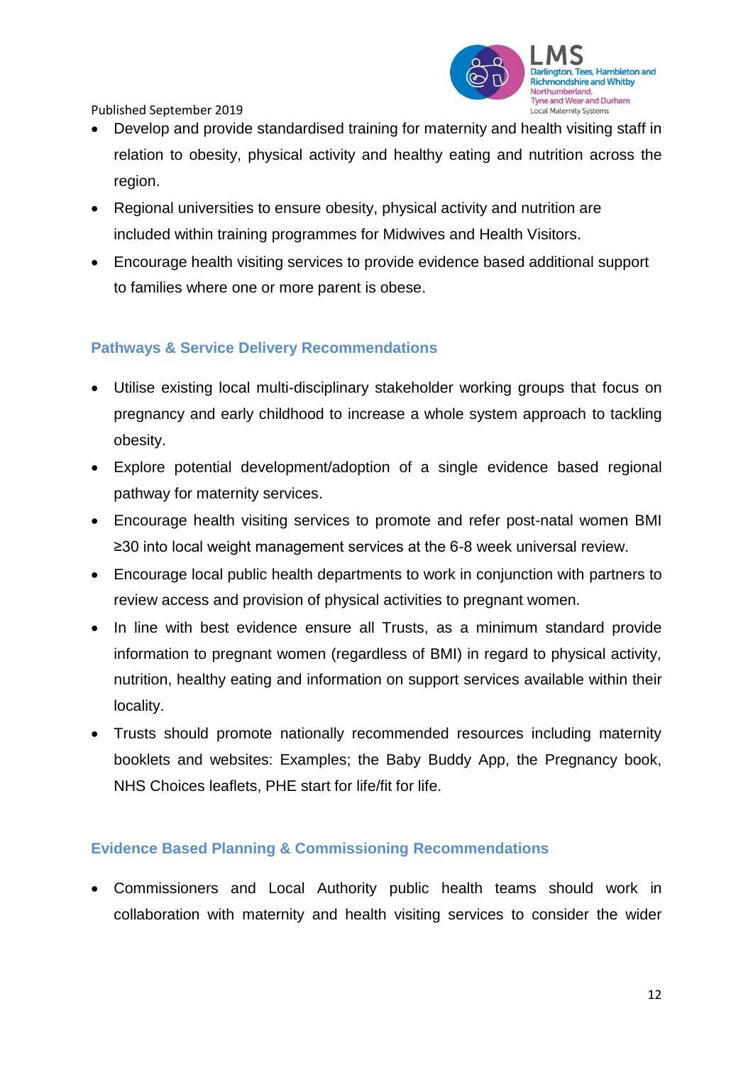

- Develop and provide standardised training for maternity and health visiting staff in relation to obesity, physical activity and healthy eating and nutrition across the region.
- Regional universities to ensure obesity, physical activity and nutrition are included within training programmes for Midwives and Health Visitors.
- Encourage health visiting services to provide evidence based additional support to families where one or more parent is obese.

# **Pathways & Service Delivery Recommendations**

- Utilise existing local multi-disciplinary stakeholder working groups that focus on pregnancy and early childhood to increase a whole system approach to tackling obesity.
- Explore potential development/adoption of a single evidence based regional pathway for maternity services.
- Encourage health visiting services to promote and refer post-natal women BMI ≥30 into local weight management services at the 6-8 week universal review.
- Encourage local public health departments to work in conjunction with partners to review access and provision of physical activities to pregnant women.
- In line with best evidence ensure all Trusts, as a minimum standard provide information to pregnant women (regardless of BMI) in regard to physical activity, nutrition, healthy eating and information on support services available within their locality.
- Trusts should promote nationally recommended resources including maternity booklets and websites: Examples; the Baby Buddy App, the Pregnancy book, NHS Choices leaflets, PHE start for life/fit for life.

# **Evidence Based Planning & Commissioning Recommendations**

• Commissioners and Local Authority public health teams should work in collaboration with maternity and health visiting services to consider the wider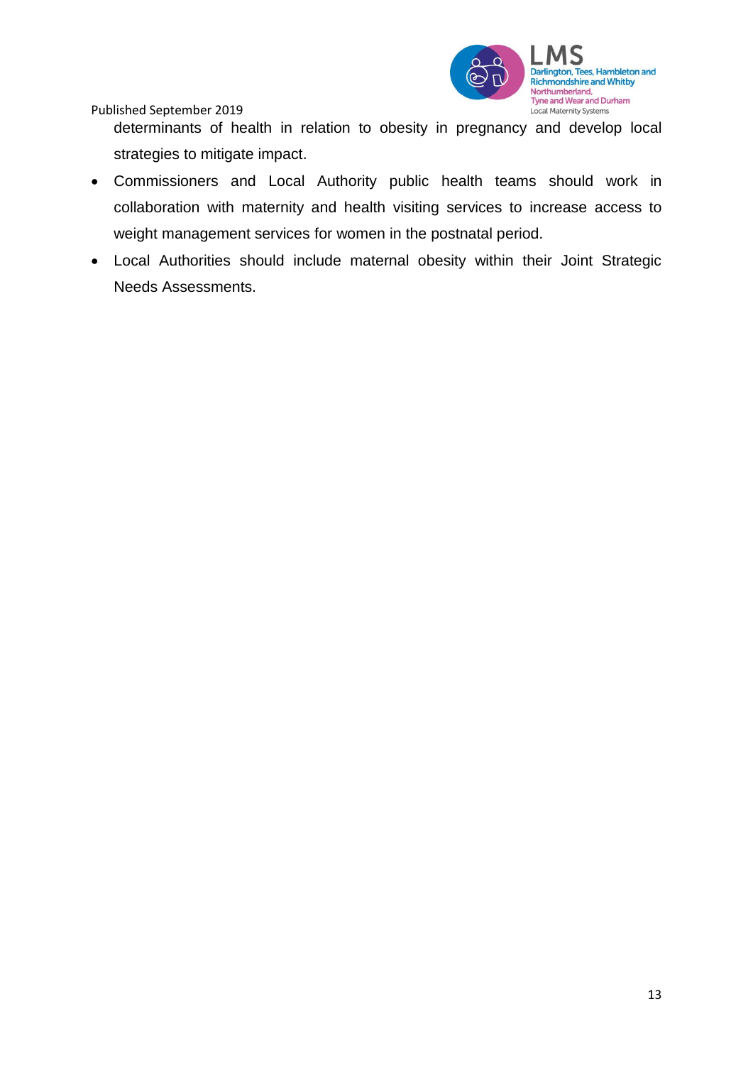

determinants of health in relation to obesity in pregnancy and develop local strategies to mitigate impact.

- Commissioners and Local Authority public health teams should work in collaboration with maternity and health visiting services to increase access to weight management services for women in the postnatal period.
- Local Authorities should include maternal obesity within their Joint Strategic Needs Assessments.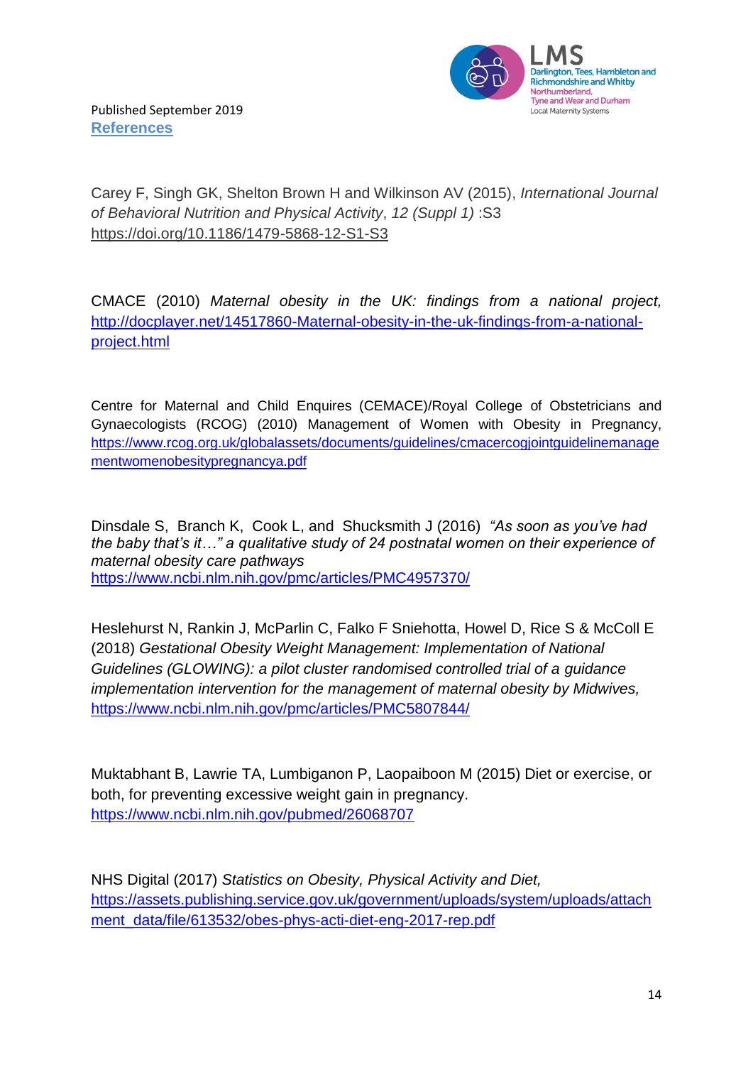

Carey F, Singh GK, Shelton Brown H and Wilkinson AV (2015), *International Journal of Behavioral Nutrition and Physical Activity*, *12 (Suppl 1)* :S3 <https://doi.org/10.1186/1479-5868-12-S1-S3>

CMACE (2010) *Maternal obesity in the UK: findings from a national project,* [http://docplayer.net/14517860-Maternal-obesity-in-the-uk-findings-from-a-national](http://docplayer.net/14517860-Maternal-obesity-in-the-uk-findings-from-a-national-project.html)[project.html](http://docplayer.net/14517860-Maternal-obesity-in-the-uk-findings-from-a-national-project.html)

Centre for Maternal and Child Enquires (CEMACE)/Royal College of Obstetricians and Gynaecologists (RCOG) (2010) Management of Women with Obesity in Pregnancy, [https://www.rcog.org.uk/globalassets/documents/guidelines/cmacercogjointguidelinemanage](https://www.rcog.org.uk/globalassets/documents/guidelines/cmacercogjointguidelinemanagementwomenobesitypregnancya.pdf) [mentwomenobesitypregnancya.pdf](https://www.rcog.org.uk/globalassets/documents/guidelines/cmacercogjointguidelinemanagementwomenobesitypregnancya.pdf)

[Dinsdale](https://www.ncbi.nlm.nih.gov/pubmed/?term=Dinsdale%20S%5BAuthor%5D&cauthor=true&cauthor_uid=27449265) S, [Branch](https://www.ncbi.nlm.nih.gov/pubmed/?term=Branch%20K%5BAuthor%5D&cauthor=true&cauthor_uid=27449265) K, [Cook](https://www.ncbi.nlm.nih.gov/pubmed/?term=Cook%20L%5BAuthor%5D&cauthor=true&cauthor_uid=27449265) L, and [Shucksmith](https://www.ncbi.nlm.nih.gov/pubmed/?term=Shucksmith%20J%5BAuthor%5D&cauthor=true&cauthor_uid=27449265) J (2016) *"As soon as you've had the baby that's it…" a qualitative study of 24 postnatal women on their experience of maternal obesity care pathways* <https://www.ncbi.nlm.nih.gov/pmc/articles/PMC4957370/>

Heslehurst N, Rankin J, McParlin C, Falko F Sniehotta, Howel D, Rice S & McColl E (2018) *Gestational Obesity Weight Management: Implementation of National Guidelines (GLOWING): a pilot cluster randomised controlled trial of a guidance implementation intervention for the management of maternal obesity by Midwives,* <https://www.ncbi.nlm.nih.gov/pmc/articles/PMC5807844/>

Muktabhant B, Lawrie TA, Lumbiganon P, Laopaiboon M (2015) Diet or exercise, or both, for preventing excessive weight gain in pregnancy. <https://www.ncbi.nlm.nih.gov/pubmed/26068707>

NHS Digital (2017) *Statistics on Obesity, Physical Activity and Diet,* [https://assets.publishing.service.gov.uk/government/uploads/system/uploads/attach](https://assets.publishing.service.gov.uk/government/uploads/system/uploads/attachment_data/file/613532/obes-phys-acti-diet-eng-2017-rep.pdf) [ment\\_data/file/613532/obes-phys-acti-diet-eng-2017-rep.pdf](https://assets.publishing.service.gov.uk/government/uploads/system/uploads/attachment_data/file/613532/obes-phys-acti-diet-eng-2017-rep.pdf)